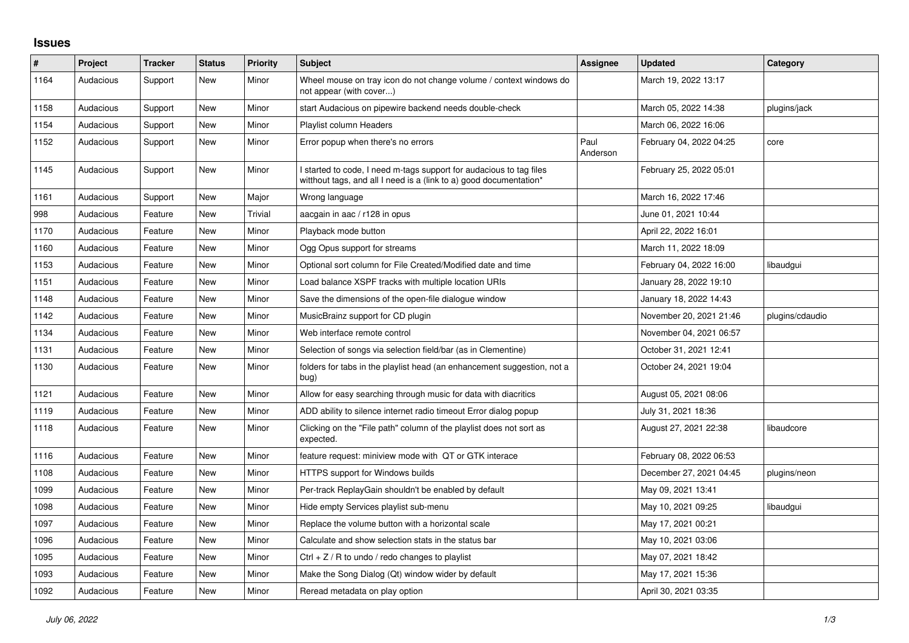## **Issues**

| #    | Project   | <b>Tracker</b> | <b>Status</b> | <b>Priority</b> | <b>Subject</b>                                                                                                                            | <b>Assignee</b>  | <b>Updated</b>          | Category        |
|------|-----------|----------------|---------------|-----------------|-------------------------------------------------------------------------------------------------------------------------------------------|------------------|-------------------------|-----------------|
| 1164 | Audacious | Support        | New           | Minor           | Wheel mouse on tray icon do not change volume / context windows do<br>not appear (with cover)                                             |                  | March 19, 2022 13:17    |                 |
| 1158 | Audacious | Support        | New           | Minor           | start Audacious on pipewire backend needs double-check                                                                                    |                  | March 05, 2022 14:38    | plugins/jack    |
| 1154 | Audacious | Support        | New           | Minor           | Playlist column Headers                                                                                                                   |                  | March 06, 2022 16:06    |                 |
| 1152 | Audacious | Support        | New           | Minor           | Error popup when there's no errors                                                                                                        | Paul<br>Anderson | February 04, 2022 04:25 | core            |
| 1145 | Audacious | Support        | New           | Minor           | I started to code, I need m-tags support for audacious to tag files<br>witthout tags, and all I need is a (link to a) good documentation* |                  | February 25, 2022 05:01 |                 |
| 1161 | Audacious | Support        | <b>New</b>    | Major           | Wrong language                                                                                                                            |                  | March 16, 2022 17:46    |                 |
| 998  | Audacious | Feature        | New           | Trivial         | aacgain in aac / r128 in opus                                                                                                             |                  | June 01, 2021 10:44     |                 |
| 1170 | Audacious | Feature        | New           | Minor           | Playback mode button                                                                                                                      |                  | April 22, 2022 16:01    |                 |
| 1160 | Audacious | Feature        | <b>New</b>    | Minor           | Ogg Opus support for streams                                                                                                              |                  | March 11, 2022 18:09    |                 |
| 1153 | Audacious | Feature        | New           | Minor           | Optional sort column for File Created/Modified date and time                                                                              |                  | February 04, 2022 16:00 | libaudgui       |
| 1151 | Audacious | Feature        | <b>New</b>    | Minor           | Load balance XSPF tracks with multiple location URIs                                                                                      |                  | January 28, 2022 19:10  |                 |
| 1148 | Audacious | Feature        | New           | Minor           | Save the dimensions of the open-file dialogue window                                                                                      |                  | January 18, 2022 14:43  |                 |
| 1142 | Audacious | Feature        | New           | Minor           | MusicBrainz support for CD plugin                                                                                                         |                  | November 20, 2021 21:46 | plugins/cdaudio |
| 1134 | Audacious | Feature        | New           | Minor           | Web interface remote control                                                                                                              |                  | November 04, 2021 06:57 |                 |
| 1131 | Audacious | Feature        | <b>New</b>    | Minor           | Selection of songs via selection field/bar (as in Clementine)                                                                             |                  | October 31, 2021 12:41  |                 |
| 1130 | Audacious | Feature        | New           | Minor           | folders for tabs in the playlist head (an enhancement suggestion, not a<br>bug)                                                           |                  | October 24, 2021 19:04  |                 |
| 1121 | Audacious | Feature        | <b>New</b>    | Minor           | Allow for easy searching through music for data with diacritics                                                                           |                  | August 05, 2021 08:06   |                 |
| 1119 | Audacious | Feature        | New           | Minor           | ADD ability to silence internet radio timeout Error dialog popup                                                                          |                  | July 31, 2021 18:36     |                 |
| 1118 | Audacious | Feature        | New           | Minor           | Clicking on the "File path" column of the playlist does not sort as<br>expected.                                                          |                  | August 27, 2021 22:38   | libaudcore      |
| 1116 | Audacious | Feature        | <b>New</b>    | Minor           | feature request: miniview mode with QT or GTK interace                                                                                    |                  | February 08, 2022 06:53 |                 |
| 1108 | Audacious | Feature        | New           | Minor           | <b>HTTPS support for Windows builds</b>                                                                                                   |                  | December 27, 2021 04:45 | plugins/neon    |
| 1099 | Audacious | Feature        | <b>New</b>    | Minor           | Per-track ReplayGain shouldn't be enabled by default                                                                                      |                  | May 09, 2021 13:41      |                 |
| 1098 | Audacious | Feature        | New           | Minor           | Hide empty Services playlist sub-menu                                                                                                     |                  | May 10, 2021 09:25      | libaudgui       |
| 1097 | Audacious | Feature        | <b>New</b>    | Minor           | Replace the volume button with a horizontal scale                                                                                         |                  | May 17, 2021 00:21      |                 |
| 1096 | Audacious | Feature        | New           | Minor           | Calculate and show selection stats in the status bar                                                                                      |                  | May 10, 2021 03:06      |                 |
| 1095 | Audacious | Feature        | New           | Minor           | Ctrl $+$ Z / R to undo / redo changes to playlist                                                                                         |                  | May 07, 2021 18:42      |                 |
| 1093 | Audacious | Feature        | New           | Minor           | Make the Song Dialog (Qt) window wider by default                                                                                         |                  | May 17, 2021 15:36      |                 |
| 1092 | Audacious | Feature        | <b>New</b>    | Minor           | Reread metadata on play option                                                                                                            |                  | April 30, 2021 03:35    |                 |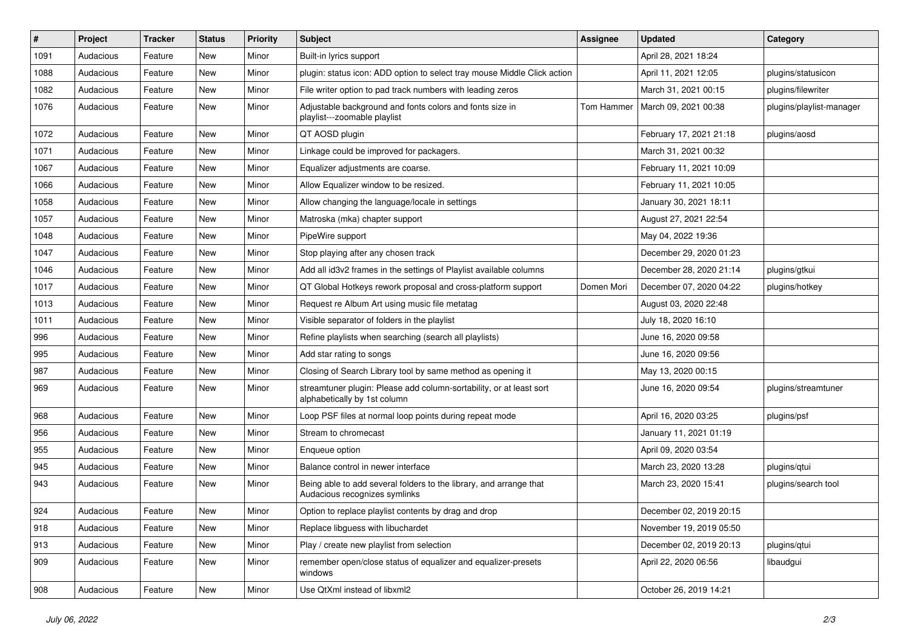| $\#$ | Project   | <b>Tracker</b> | <b>Status</b> | <b>Priority</b> | <b>Subject</b>                                                                                      | <b>Assignee</b> | <b>Updated</b>          | Category                 |
|------|-----------|----------------|---------------|-----------------|-----------------------------------------------------------------------------------------------------|-----------------|-------------------------|--------------------------|
| 1091 | Audacious | Feature        | New           | Minor           | Built-in lyrics support                                                                             |                 | April 28, 2021 18:24    |                          |
| 1088 | Audacious | Feature        | <b>New</b>    | Minor           | plugin: status icon: ADD option to select tray mouse Middle Click action                            |                 | April 11, 2021 12:05    | plugins/statusicon       |
| 1082 | Audacious | Feature        | New           | Minor           | File writer option to pad track numbers with leading zeros                                          |                 | March 31, 2021 00:15    | plugins/filewriter       |
| 1076 | Audacious | Feature        | New           | Minor           | Adjustable background and fonts colors and fonts size in<br>playlist---zoomable playlist            | Tom Hammer      | March 09, 2021 00:38    | plugins/playlist-manager |
| 1072 | Audacious | Feature        | New           | Minor           | QT AOSD plugin                                                                                      |                 | February 17, 2021 21:18 | plugins/aosd             |
| 1071 | Audacious | Feature        | New           | Minor           | Linkage could be improved for packagers.                                                            |                 | March 31, 2021 00:32    |                          |
| 1067 | Audacious | Feature        | New           | Minor           | Equalizer adjustments are coarse.                                                                   |                 | February 11, 2021 10:09 |                          |
| 1066 | Audacious | Feature        | New           | Minor           | Allow Equalizer window to be resized.                                                               |                 | February 11, 2021 10:05 |                          |
| 1058 | Audacious | Feature        | New           | Minor           | Allow changing the language/locale in settings                                                      |                 | January 30, 2021 18:11  |                          |
| 1057 | Audacious | Feature        | New           | Minor           | Matroska (mka) chapter support                                                                      |                 | August 27, 2021 22:54   |                          |
| 1048 | Audacious | Feature        | New           | Minor           | PipeWire support                                                                                    |                 | May 04, 2022 19:36      |                          |
| 1047 | Audacious | Feature        | New           | Minor           | Stop playing after any chosen track                                                                 |                 | December 29, 2020 01:23 |                          |
| 1046 | Audacious | Feature        | New           | Minor           | Add all id3v2 frames in the settings of Playlist available columns                                  |                 | December 28, 2020 21:14 | plugins/gtkui            |
| 1017 | Audacious | Feature        | New           | Minor           | QT Global Hotkeys rework proposal and cross-platform support                                        | Domen Mori      | December 07, 2020 04:22 | plugins/hotkey           |
| 1013 | Audacious | Feature        | New           | Minor           | Request re Album Art using music file metatag                                                       |                 | August 03, 2020 22:48   |                          |
| 1011 | Audacious | Feature        | New           | Minor           | Visible separator of folders in the playlist                                                        |                 | July 18, 2020 16:10     |                          |
| 996  | Audacious | Feature        | New           | Minor           | Refine playlists when searching (search all playlists)                                              |                 | June 16, 2020 09:58     |                          |
| 995  | Audacious | Feature        | New           | Minor           | Add star rating to songs                                                                            |                 | June 16, 2020 09:56     |                          |
| 987  | Audacious | Feature        | New           | Minor           | Closing of Search Library tool by same method as opening it                                         |                 | May 13, 2020 00:15      |                          |
| 969  | Audacious | Feature        | New           | Minor           | streamtuner plugin: Please add column-sortability, or at least sort<br>alphabetically by 1st column |                 | June 16, 2020 09:54     | plugins/streamtuner      |
| 968  | Audacious | Feature        | New           | Minor           | Loop PSF files at normal loop points during repeat mode                                             |                 | April 16, 2020 03:25    | plugins/psf              |
| 956  | Audacious | Feature        | New           | Minor           | Stream to chromecast                                                                                |                 | January 11, 2021 01:19  |                          |
| 955  | Audacious | Feature        | New           | Minor           | Enqueue option                                                                                      |                 | April 09, 2020 03:54    |                          |
| 945  | Audacious | Feature        | New           | Minor           | Balance control in newer interface                                                                  |                 | March 23, 2020 13:28    | plugins/gtui             |
| 943  | Audacious | Feature        | New           | Minor           | Being able to add several folders to the library, and arrange that<br>Audacious recognizes symlinks |                 | March 23, 2020 15:41    | plugins/search tool      |
| 924  | Audacious | Feature        | New           | Minor           | Option to replace playlist contents by drag and drop                                                |                 | December 02, 2019 20:15 |                          |
| 918  | Audacious | Feature        | New           | Minor           | Replace libguess with libuchardet                                                                   |                 | November 19, 2019 05:50 |                          |
| 913  | Audacious | Feature        | New           | Minor           | Play / create new playlist from selection                                                           |                 | December 02, 2019 20:13 | plugins/qtui             |
| 909  | Audacious | Feature        | New           | Minor           | remember open/close status of equalizer and equalizer-presets<br>windows                            |                 | April 22, 2020 06:56    | libaudgui                |
| 908  | Audacious | Feature        | New           | Minor           | Use QtXml instead of libxml2                                                                        |                 | October 26, 2019 14:21  |                          |